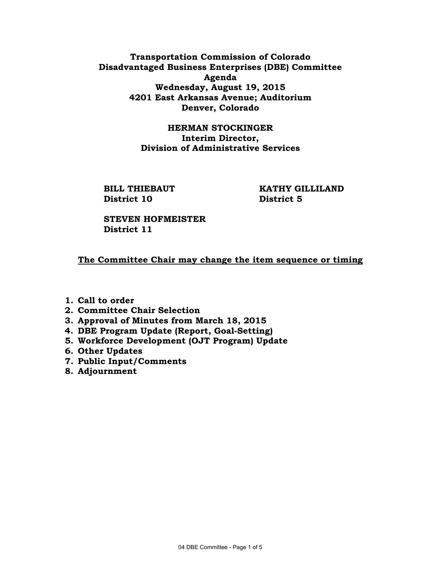## **Transportation Commission of Colorado Disadvantaged Business Enterprises (DBE) Committee Agenda Wednesday, August 19, 2015 4201 East Arkansas Avenue; Auditorium Denver, Colorado**

### **HERMAN STOCKINGER Interim Director, Division of Administrative Services**

**District 10 District 5** 

**BILL THIEBAUT KATHY GILLILAND** 

 **STEVEN HOFMEISTER District 11** 

# **The Committee Chair may change the item sequence or timing**

- **1. Call to order**
- **2. Committee Chair Selection**
- **3. Approval of Minutes from March 18, 2015**
- **4. DBE Program Update (Report, Goal-Setting)**
- **5. Workforce Development (OJT Program) Update**
- **6. Other Updates**
- **7. Public Input/Comments**
- **8. Adjournment**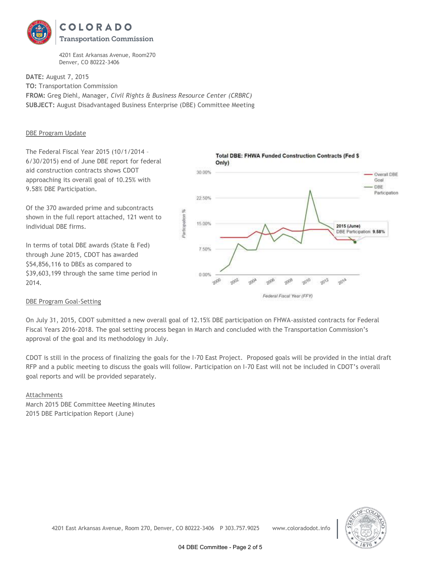

4201 East Arkansas Avenue, Room270 Denver, CO 80222-3406

**DATE:** August 7, 2015 **TO:** Transportation Commission **FROM:** Greg Diehl, Manager, *Civil Rights & Business Resource Center (CRBRC)* **SUBJECT:** August Disadvantaged Business Enterprise (DBE) Committee Meeting

#### DBE Program Update

The Federal Fiscal Year 2015 (10/1/2014 – 6/30/2015) end of June DBE report for federal aid construction contracts shows CDOT approaching its overall goal of 10.25% with 9.58% DBE Participation.

Of the 370 awarded prime and subcontracts shown in the full report attached, 121 went to individual DBE firms.

In terms of total DBE awards (State & Fed) through June 2015, CDOT has awarded \$54,856,116 to DBEs as compared to \$39,603,199 through the same time period in 2014.



#### DBE Program Goal-Setting

On July 31, 2015, CDOT submitted a new overall goal of 12.15% DBE participation on FHWA-assisted contracts for Federal Fiscal Years 2016-2018. The goal setting process began in March and concluded with the Transportation Commission's approval of the goal and its methodology in July.

CDOT is still in the process of finalizing the goals for the I-70 East Project. Proposed goals will be provided in the intial draft RFP and a public meeting to discuss the goals will follow. Participation on I-70 East will not be included in CDOT's overall goal reports and will be provided separately.

#### Attachments

March 2015 DBE Committee Meeting Minutes 2015 DBE Participation Report (June)



4201 East Arkansas Avenue, Room 270, Denver, CO 80222-3406 P 303.757.9025 www.coloradodot.info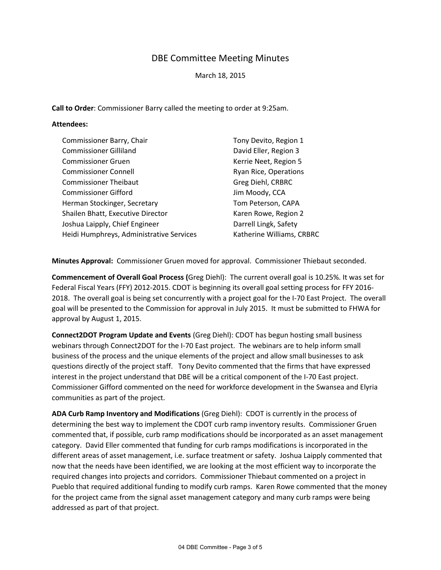# DBE Committee Meeting Minutes

March 18, 2015

**Call to Order**: Commissioner Barry called the meeting to order at 9:25am.

### **Attendees:**

| Commissioner Barry, Chair                | Tony Devito, Region 1     |
|------------------------------------------|---------------------------|
| <b>Commissioner Gilliland</b>            | David Eller, Region 3     |
| <b>Commissioner Gruen</b>                | Kerrie Neet, Region 5     |
| <b>Commissioner Connell</b>              | Ryan Rice, Operations     |
| <b>Commissioner Theibaut</b>             | Greg Diehl, CRBRC         |
| <b>Commissioner Gifford</b>              | Jim Moody, CCA            |
| Herman Stockinger, Secretary             | Tom Peterson, CAPA        |
| Shailen Bhatt, Executive Director        | Karen Rowe, Region 2      |
| Joshua Laipply, Chief Engineer           | Darrell Lingk, Safety     |
| Heidi Humphreys, Administrative Services | Katherine Williams, CRBRC |

**Minutes Approval:** Commissioner Gruen moved for approval. Commissioner Thiebaut seconded.

**Commencement of Overall Goal Process (**Greg Diehl): The current overall goal is 10.25%. It was set for Federal Fiscal Years (FFY) 2012-2015. CDOT is beginning its overall goal setting process for FFY 2016- 2018. The overall goal is being set concurrently with a project goal for the I-70 East Project. The overall goal will be presented to the Commission for approval in July 2015. It must be submitted to FHWA for approval by August 1, 2015.

**Connect2DOT Program Update and Events** (Greg Diehl): CDOT has begun hosting small business webinars through Connect2DOT for the I-70 East project. The webinars are to help inform small business of the process and the unique elements of the project and allow small businesses to ask questions directly of the project staff. Tony Devito commented that the firms that have expressed interest in the project understand that DBE will be a critical component of the I-70 East project. Commissioner Gifford commented on the need for workforce development in the Swansea and Elyria communities as part of the project.

**ADA Curb Ramp Inventory and Modifications** (Greg Diehl): CDOT is currently in the process of determining the best way to implement the CDOT curb ramp inventory results. Commissioner Gruen commented that, if possible, curb ramp modifications should be incorporated as an asset management category. David Eller commented that funding for curb ramps modifications is incorporated in the different areas of asset management, i.e. surface treatment or safety. Joshua Laipply commented that now that the needs have been identified, we are looking at the most efficient way to incorporate the required changes into projects and corridors. Commissioner Thiebaut commented on a project in Pueblo that required additional funding to modify curb ramps. Karen Rowe commented that the money for the project came from the signal asset management category and many curb ramps were being addressed as part of that project.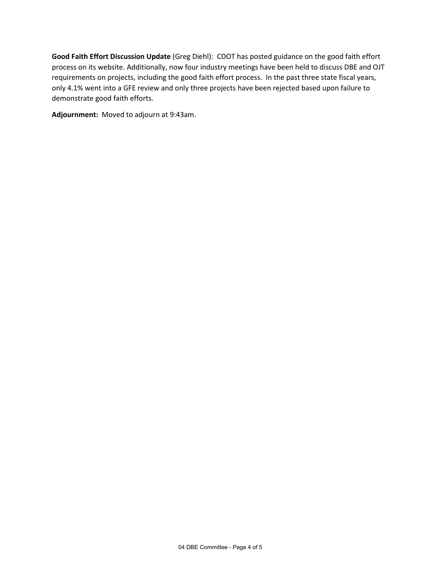**Good Faith Effort Discussion Update** (Greg Diehl): CDOT has posted guidance on the good faith effort process on its website. Additionally, now four industry meetings have been held to discuss DBE and OJT requirements on projects, including the good faith effort process. In the past three state fiscal years, only 4.1% went into a GFE review and only three projects have been rejected based upon failure to demonstrate good faith efforts.

**Adjournment:** Moved to adjourn at 9:43am.